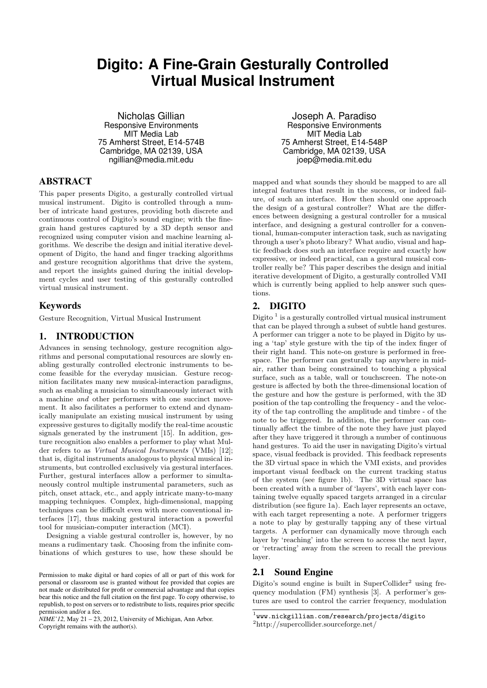# **Digito: A Fine-Grain Gesturally Controlled Virtual Musical Instrument**

Nicholas Gillian Responsive Environments MIT Media Lab 75 Amherst Street, E14-574B Cambridge, MA 02139, USA ngillian@media.mit.edu

## ABSTRACT

This paper presents Digito, a gesturally controlled virtual musical instrument. Digito is controlled through a number of intricate hand gestures, providing both discrete and continuous control of Digito's sound engine; with the finegrain hand gestures captured by a 3D depth sensor and recognized using computer vision and machine learning algorithms. We describe the design and initial iterative development of Digito, the hand and finger tracking algorithms and gesture recognition algorithms that drive the system, and report the insights gained during the initial development cycles and user testing of this gesturally controlled virtual musical instrument.

## Keywords

Gesture Recognition, Virtual Musical Instrument

## 1. INTRODUCTION

Advances in sensing technology, gesture recognition algorithms and personal computational resources are slowly enabling gesturally controlled electronic instruments to become feasible for the everyday musician. Gesture recognition facilitates many new musical-interaction paradigms, such as enabling a musician to simultaneously interact with a machine and other performers with one succinct movement. It also facilitates a performer to extend and dynamically manipulate an existing musical instrument by using expressive gestures to digitally modify the real-time acoustic signals generated by the instrument [15]. In addition, gesture recognition also enables a performer to play what Mulder refers to as Virtual Musical Instruments (VMIs) [12]; that is, digital instruments analogous to physical musical instruments, but controlled exclusively via gestural interfaces. Further, gestural interfaces allow a performer to simultaneously control multiple instrumental parameters, such as pitch, onset attack, etc., and apply intricate many-to-many mapping techniques. Complex, high-dimensional, mapping techniques can be difficult even with more conventional interfaces [17], thus making gestural interaction a powerful tool for musician-computer interaction (MCI).

Designing a viable gestural controller is, however, by no means a rudimentary task. Choosing from the infinite combinations of which gestures to use, how these should be

*NIME'12,* May 21 – 23, 2012, University of Michigan, Ann Arbor. Copyright remains with the author(s).

Joseph A. Paradiso Responsive Environments MIT Media Lab 75 Amherst Street, E14-548P Cambridge, MA 02139, USA joep@media.mit.edu

mapped and what sounds they should be mapped to are all integral features that result in the success, or indeed failure, of such an interface. How then should one approach the design of a gestural controller? What are the differences between designing a gestural controller for a musical interface, and designing a gestural controller for a conventional, human-computer interaction task, such as navigating through a user's photo library? What audio, visual and haptic feedback does such an interface require and exactly how expressive, or indeed practical, can a gestural musical controller really be? This paper describes the design and initial iterative development of Digito, a gesturally controlled VMI which is currently being applied to help answer such questions.

## 2. DIGITO

Digito<sup>1</sup> is a gesturally controlled virtual musical instrument that can be played through a subset of subtle hand gestures. A performer can trigger a note to be played in Digito by using a 'tap' style gesture with the tip of the index finger of their right hand. This note-on gesture is performed in freespace. The performer can gesturally tap anywhere in midair, rather than being constrained to touching a physical surface, such as a table, wall or touchscreen. The note-on gesture is affected by both the three-dimensional location of the gesture and how the gesture is performed, with the 3D position of the tap controlling the frequency - and the velocity of the tap controlling the amplitude and timbre - of the note to be triggered. In addition, the performer can continually affect the timbre of the note they have just played after they have triggered it through a number of continuous hand gestures. To aid the user in navigating Digito's virtual space, visual feedback is provided. This feedback represents the 3D virtual space in which the VMI exists, and provides important visual feedback on the current tracking status of the system (see figure 1b). The 3D virtual space has been created with a number of 'layers', with each layer containing twelve equally spaced targets arranged in a circular distribution (see figure 1a). Each layer represents an octave, with each target representing a note. A performer triggers a note to play by gesturally tapping any of these virtual targets. A performer can dynamically move through each layer by 'reaching' into the screen to access the next layer, or 'retracting' away from the screen to recall the previous layer.

### 2.1 Sound Engine

Digito's sound engine is built in  $SuperCollider<sup>2</sup>$  using frequency modulation (FM) synthesis [3]. A performer's gestures are used to control the carrier frequency, modulation

Permission to make digital or hard copies of all or part of this work for personal or classroom use is granted without fee provided that copies are not made or distributed for profit or commercial advantage and that copies bear this notice and the full citation on the first page. To copy otherwise, to republish, to post on servers or to redistribute to lists, requires prior specific permission and/or a fee.

 $^{1}$ www.nickgillian.com/research/projects/digito <sup>2</sup>http://supercollider.sourceforge.net/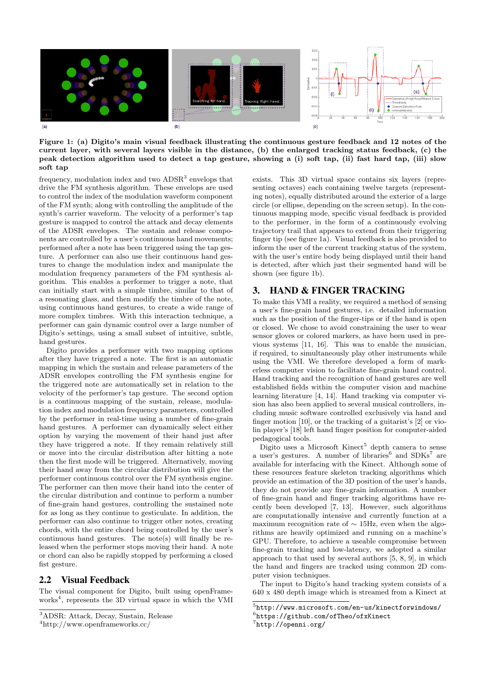

Figure 1: (a) Digito's main visual feedback illustrating the continuous gesture feedback and 12 notes of the current layer, with several layers visible in the distance, (b) the enlarged tracking status feedback, (c) the peak detection algorithm used to detect a tap gesture, showing a (i) soft tap, (ii) fast hard tap, (iii) slow soft tap

frequency, modulation index and two  $\text{ADSR}^3$  envelops that drive the FM synthesis algorithm. These envelops are used to control the index of the modulation waveform component of the FM synth; along with controlling the amplitude of the synth's carrier waveform. The velocity of a performer's tap gesture is mapped to control the attack and decay elements of the ADSR envelopes. The sustain and release components are controlled by a user's continuous hand movements; performed after a note has been triggered using the tap gesture. A performer can also use their continuous hand gestures to change the modulation index and manipulate the modulation frequency parameters of the FM synthesis algorithm. This enables a performer to trigger a note, that can initially start with a simple timbre, similar to that of a resonating glass, and then modify the timbre of the note, using continuous hand gestures, to create a wide range of more complex timbres. With this interaction technique, a performer can gain dynamic control over a large number of Digito's settings, using a small subset of intuitive, subtle, hand gestures.

Digito provides a performer with two mapping options after they have triggered a note. The first is an automatic mapping in which the sustain and release parameters of the ADSR envelopes controlling the FM synthesis engine for the triggered note are automatically set in relation to the velocity of the performer's tap gesture. The second option is a continuous mapping of the sustain, release, modulation index and modulation frequency parameters, controlled by the performer in real-time using a number of fine-grain hand gestures. A performer can dynamically select either option by varying the movement of their hand just after they have triggered a note. If they remain relatively still or move into the circular distribution after hitting a note then the first mode will be triggered. Alternatively, moving their hand away from the circular distribution will give the performer continuous control over the FM synthesis engine. The performer can then move their hand into the center of the circular distribution and continue to perform a number of fine-grain hand gestures, controlling the sustained note for as long as they continue to gesticulate. In addition, the performer can also continue to trigger other notes, creating chords, with the entire chord being controlled by the user's continuous hand gestures. The note(s) will finally be released when the performer stops moving their hand. A note or chord can also be rapidly stopped by performing a closed fist gesture.

#### 2.2 Visual Feedback

The visual component for Digito, built using openFrameworks<sup>4</sup>, represents the 3D virtual space in which the VMI

<sup>4</sup>http://www.openframeworks.cc/

exists. This 3D virtual space contains six layers (representing octaves) each containing twelve targets (representing notes), equally distributed around the exterior of a large circle (or ellipse, depending on the screen setup). In the continuous mapping mode, specific visual feedback is provided to the performer, in the form of a continuously evolving trajectory trail that appears to extend from their triggering finger tip (see figure 1a). Visual feedback is also provided to inform the user of the current tracking status of the system, with the user's entire body being displayed until their hand is detected, after which just their segmented hand will be shown (see figure 1b).

## 3. HAND & FINGER TRACKING

To make this VMI a reality, we required a method of sensing a user's fine-grain hand gestures, i.e. detailed information such as the position of the finger-tips or if the hand is open or closed. We chose to avoid constraining the user to wear sensor gloves or colored markers, as have been used in previous systems [11, 16]. This was to enable the musician, if required, to simultaneously play other instruments while using the VMI. We therefore developed a form of markerless computer vision to facilitate fine-grain hand control. Hand tracking and the recognition of hand gestures are well established fields within the computer vision and machine learning literature [4, 14]. Hand tracking via computer vision has also been applied to several musical controllers, including music software controlled exclusively via hand and finger motion [10], or the tracking of a guitarist's [2] or violin player's [18] left hand finger position for computer-aided pedagogical tools.

Digito uses a Microsoft Kinect<sup>5</sup> depth camera to sense a user's gestures. A number of libraries<sup>6</sup> and  $SDKs^7$  are available for interfacing with the Kinect. Although some of these resources feature skeleton tracking algorithms which provide an estimation of the 3D position of the user's hands, they do not provide any fine-grain information. A number of fine-grain hand and finger tracking algorithms have recently been developed [7, 13]. However, such algorithms are computationally intensive and currently function at a maximum recognition rate of  $\sim 15$ Hz, even when the algorithms are heavily optimized and running on a machine's GPU. Therefore, to achieve a useable compromise between fine-grain tracking and low-latency, we adopted a similar approach to that used by several authors [5, 8, 9], in which the hand and fingers are tracked using common 2D computer vision techniques.

The input to Digito's hand tracking system consists of a 640 x 480 depth image which is streamed from a Kinect at

<sup>3</sup>ADSR: Attack, Decay, Sustain, Release

<sup>5</sup> http://www.microsoft.com/en-us/kinectforwindows/ 6 https://github.com/ofTheo/ofxKinect 7 http://openni.org/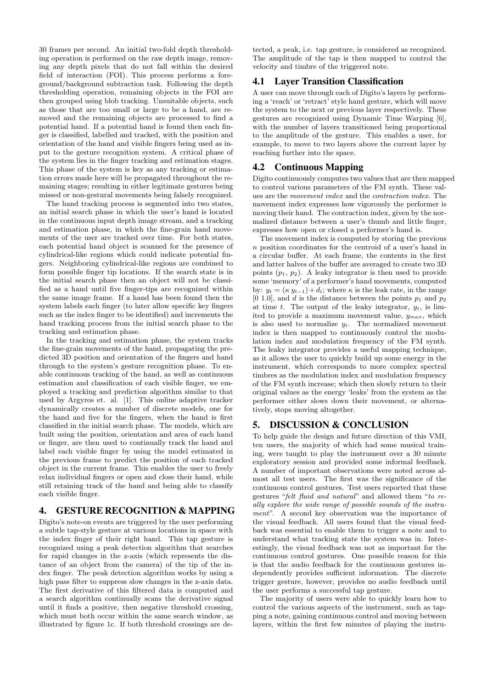30 frames per second. An initial two-fold depth thresholding operation is performed on the raw depth image, removing any depth pixels that do not fall within the desired field of interaction (FOI). This process performs a foreground/background subtraction task. Following the depth thresholding operation, remaining objects in the FOI are then grouped using blob tracking. Unsuitable objects, such as those that are too small or large to be a hand, are removed and the remaining objects are processed to find a potential hand. If a potential hand is found then each finger is classified, labelled and tracked, with the position and orientation of the hand and visible fingers being used as input to the gesture recognition system. A critical phase of the system lies in the finger tracking and estimation stages. This phase of the system is key as any tracking or estimation errors made here will be propagated throughout the remaining stages; resulting in either legitimate gestures being missed or non-gestural movements being falsely recognized.

The hand tracking process is segmented into two states, an initial search phase in which the user's hand is located in the continuous input depth image stream, and a tracking and estimation phase, in which the fine-grain hand movements of the user are tracked over time. For both states, each potential hand object is scanned for the presence of cylindrical-like regions which could indicate potential fingers. Neighboring cylindrical-like regions are combined to form possible finger tip locations. If the search state is in the initial search phase then an object will not be classified as a hand until five finger-tips are recognized within the same image frame. If a hand has been found then the system labels each finger (to later allow specific key fingers such as the index finger to be identified) and increments the hand tracking process from the initial search phase to the tracking and estimation phase.

In the tracking and estimation phase, the system tracks the fine-grain movements of the hand, propagating the predicted 3D position and orientation of the fingers and hand through to the system's gesture recognition phase. To enable continuous tracking of the hand, as well as continuous estimation and classification of each visible finger, we employed a tracking and prediction algorithm similar to that used by Argyros et. al. [1]. This online adaptive tracker dynamically creates a number of discrete models, one for the hand and five for the fingers, when the hand is first classified in the initial search phase. The models, which are built using the position, orientation and area of each hand or finger, are then used to continually track the hand and label each visible finger by using the model estimated in the previous frame to predict the position of each tracked object in the current frame. This enables the user to freely relax individual fingers or open and close their hand, while still retaining track of the hand and being able to classify each visible finger.

## 4. GESTURE RECOGNITION & MAPPING

Digito's note-on events are triggered by the user performing a subtle tap-style gesture at various locations in space with the index finger of their right hand. This tap gesture is recognized using a peak detection algorithm that searches for rapid changes in the z-axis (which represents the distance of an object from the camera) of the tip of the index finger. The peak detection algorithm works by using a high pass filter to suppress slow changes in the z-axis data. The first derivative of this filtered data is computed and a search algorithm continually scans the derivative signal until it finds a positive, then negative threshold crossing, which must both occur within the same search window, as illustrated by figure 1c. If both threshold crossings are detected, a peak, i.e. tap gesture, is considered as recognized. The amplitude of the tap is then mapped to control the velocity and timbre of the triggered note.

#### 4.1 Layer Transition Classification

A user can move through each of Digito's layers by performing a 'reach' or 'retract' style hand gesture, which will move the system to the next or previous layer respectively. These gestures are recognized using Dynamic Time Warping [6], with the number of layers transitioned being proportional to the amplitude of the gesture. This enables a user, for example, to move to two layers above the current layer by reaching further into the space.

#### 4.2 Continuous Mapping

Digito continuously computes two values that are then mapped to control various parameters of the FM synth. These values are the movement index and the contraction index. The movement index expresses how vigorously the performer is moving their hand. The contraction index, given by the normalized distance between a user's thumb and little finger, expresses how open or closed a performer's hand is.

The movement index is computed by storing the previous n position coordinates for the centroid of a user's hand in a circular buffer. At each frame, the contents in the first and latter halves of the buffer are averaged to create two 3D points  $(p_1, p_2)$ . A leaky integrator is then used to provide some 'memory' of a performer's hand movements, computed by:  $y_t = (\kappa y_{t-1}) + d_t$ ; where  $\kappa$  is the leak rate, in the range [0 1.0], and d is the distance between the points  $p_1$  and  $p_2$ at time t. The output of the leaky integrator,  $y_t$ , is limited to provide a maximum movement value,  $y_{max}$ , which is also used to normalize  $y_t$ . The normalized movement index is then mapped to continuously control the modulation index and modulation frequency of the FM synth. The leaky integrator provides a useful mapping technique, as it allows the user to quickly build up some energy in the instrument, which corresponds to more complex spectral timbres as the modulation index and modulation frequency of the FM synth increase; which then slowly return to their original values as the energy 'leaks' from the system as the performer either slows down their movement, or alternatively, stops moving altogether.

### 5. DISCUSSION & CONCLUSION

To help guide the design and future direction of this VMI, ten users, the majority of which had some musical training, were taught to play the instrument over a 30 minute exploratory session and provided some informal feedback. A number of important observations were noted across almost all test users. The first was the significance of the continuous control gestures. Test users reported that these gestures "felt fluid and natural" and allowed them "to really explore the wide range of possible sounds of the instrument". A second key observation was the importance of the visual feedback. All users found that the visual feedback was essential to enable them to trigger a note and to understand what tracking state the system was in. Interestingly, the visual feedback was not as important for the continuous control gestures. One possible reason for this is that the audio feedback for the continuous gestures independently provides sufficient information. The discrete trigger gesture, however, provides no audio feedback until the user performs a successful tap gesture.

The majority of users were able to quickly learn how to control the various aspects of the instrument, such as tapping a note, gaining continuous control and moving between layers, within the first few minutes of playing the instru